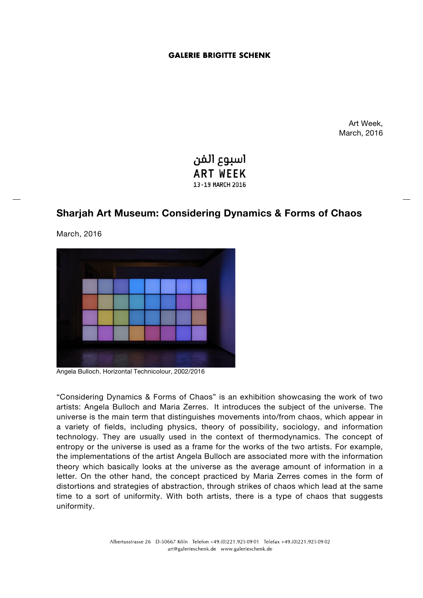## **GALERIE BRIGITTE SCHENK**

Art Week, March, 2016



# **Sharjah Art Museum: Considering Dynamics & Forms of Chaos**

March, 2016



Angela Bulloch. Horizontal Technicolour, 2002/2016

"Considering Dynamics & Forms of Chaos" is an exhibition showcasing the work of two artists: Angela Bulloch and Maria Zerres. It introduces the subject of the universe. The universe is the main term that distinguishes movements into/from chaos, which appear in a variety of fields, including physics, theory of possibility, sociology, and information technology. They are usually used in the context of thermodynamics. The concept of entropy or the universe is used as a frame for the works of the two artists. For example, the implementations of the artist Angela Bulloch are associated more with the information theory which basically looks at the universe as the average amount of information in a letter. On the other hand, the concept practiced by Maria Zerres comes in the form of distortions and strategies of abstraction, through strikes of chaos which lead at the same time to a sort of uniformity. With both artists, there is a type of chaos that suggests uniformity.